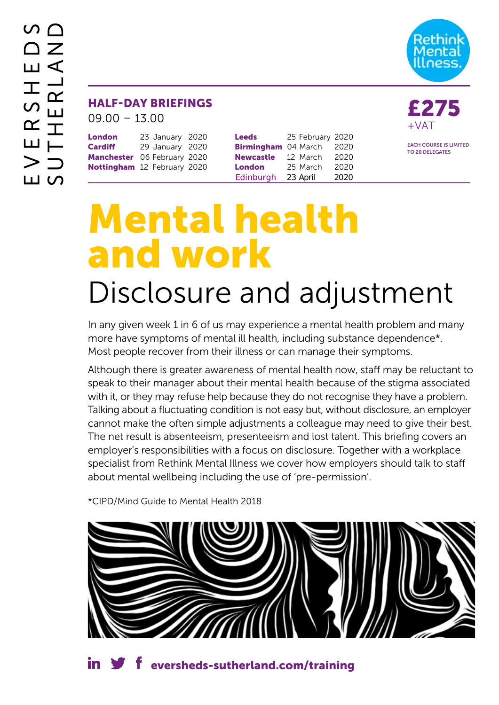

## HALF-DAY BRIEFINGS<br>09.00 – 13.00

| <b>London</b>               | 23 January 2020 |  |
|-----------------------------|-----------------|--|
| <b>Cardiff</b>              | 29 January 2020 |  |
| Manchester 06 February 2020 |                 |  |
| Nottingham 12 February 2020 |                 |  |

| <b>Leeds</b>      | 25 February 2020 |      |
|-------------------|------------------|------|
| <b>Birmingham</b> | 04 March         | 2020 |
| <b>Newcastle</b>  | 12 March         | 2020 |
| <b>London</b>     | 25 March         | 2020 |
| Edinburgh         | 23 April         | 2020 |

+VAT

EACH COURSE IS LIMITED TO 20 DELEGATES

# Mental health and work

# Disclosure and adjustment

In any given week 1 in 6 of us may experience a mental health problem and many more have symptoms of mental ill health, including substance dependence\*. Most people recover from their illness or can manage their symptoms.

Although there is greater awareness of mental health now, staff may be reluctant to speak to their manager about their mental health because of the stigma associated with it, or they may refuse help because they do not recognise they have a problem. Talking about a fluctuating condition is not easy but, without disclosure, an employer cannot make the often simple adjustments a colleague may need to give their best. The net result is absenteeism, presenteeism and lost talent. This briefing covers an employer's responsibilities with a focus on disclosure. Together with a workplace specialist from Rethink Mental Illness we cover how employers should talk to staff about mental wellbeing including the use of 'pre-permission'.

\*CIPD/Mind Guide to Mental Health 2018